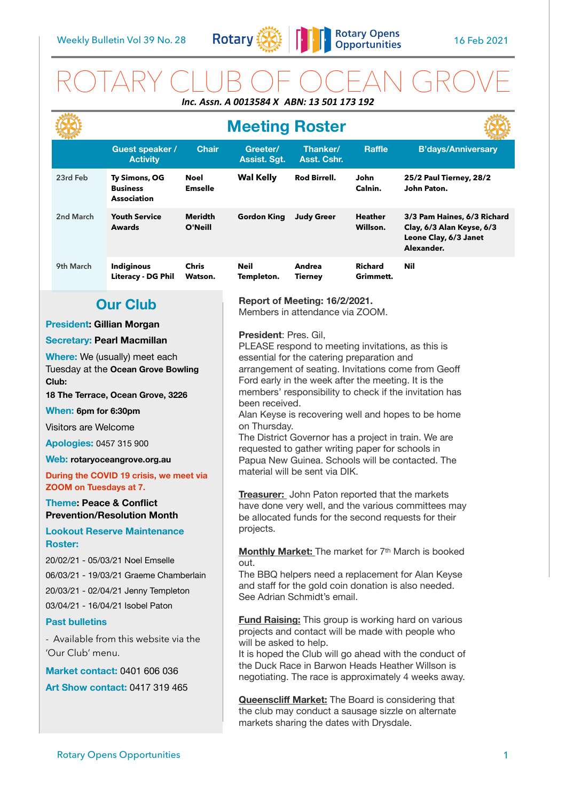

# ROTARY CLUB OF OCEAN GROVE *Inc. Assn. A 0013584 X ABN: 13 501 173 192*

|                                                                                                                                                                                                                                                                                                                                                                                                                           |                                                        |                               | <b>Meeting Roster</b>                                                                                                                                                                                                                                                                                                                                                                                                                                                                                                                                                                                                                                                                                                                                                            |                          |                             |                                                                                                 |  |
|---------------------------------------------------------------------------------------------------------------------------------------------------------------------------------------------------------------------------------------------------------------------------------------------------------------------------------------------------------------------------------------------------------------------------|--------------------------------------------------------|-------------------------------|----------------------------------------------------------------------------------------------------------------------------------------------------------------------------------------------------------------------------------------------------------------------------------------------------------------------------------------------------------------------------------------------------------------------------------------------------------------------------------------------------------------------------------------------------------------------------------------------------------------------------------------------------------------------------------------------------------------------------------------------------------------------------------|--------------------------|-----------------------------|-------------------------------------------------------------------------------------------------|--|
|                                                                                                                                                                                                                                                                                                                                                                                                                           | <b>Guest speaker /</b><br><b>Activity</b>              | <b>Chair</b>                  | Greeter/<br><b>Assist. Sgt.</b>                                                                                                                                                                                                                                                                                                                                                                                                                                                                                                                                                                                                                                                                                                                                                  | Thanker/<br>Asst. Cshr.  | <b>Raffle</b>               | <b>B'days/Anniversary</b>                                                                       |  |
| 23rd Feb                                                                                                                                                                                                                                                                                                                                                                                                                  | Ty Simons, OG<br><b>Business</b><br><b>Association</b> | <b>Noel</b><br><b>Emselle</b> | <b>Wal Kelly</b>                                                                                                                                                                                                                                                                                                                                                                                                                                                                                                                                                                                                                                                                                                                                                                 | Rod Birrell.             | John<br>Calnin.             | 25/2 Paul Tierney, 28/2<br>John Paton.                                                          |  |
| 2nd March                                                                                                                                                                                                                                                                                                                                                                                                                 | <b>Youth Service</b><br><b>Awards</b>                  | <b>Meridth</b><br>O'Neill     | <b>Gordon King</b>                                                                                                                                                                                                                                                                                                                                                                                                                                                                                                                                                                                                                                                                                                                                                               | <b>Judy Greer</b>        | <b>Heather</b><br>Willson.  | 3/3 Pam Haines, 6/3 Richard<br>Clay, 6/3 Alan Keyse, 6/3<br>Leone Clay, 6/3 Janet<br>Alexander. |  |
| 9th March                                                                                                                                                                                                                                                                                                                                                                                                                 | Indiginous<br><b>Literacy - DG Phil</b>                | <b>Chris</b><br>Watson.       | Neil<br>Templeton.                                                                                                                                                                                                                                                                                                                                                                                                                                                                                                                                                                                                                                                                                                                                                               | Andrea<br><b>Tierney</b> | <b>Richard</b><br>Grimmett. | <b>Nil</b>                                                                                      |  |
|                                                                                                                                                                                                                                                                                                                                                                                                                           | <b>Our Club</b>                                        |                               | Report of Meeting: 16/2/2021.<br>Members in attendance via ZOOM.                                                                                                                                                                                                                                                                                                                                                                                                                                                                                                                                                                                                                                                                                                                 |                          |                             |                                                                                                 |  |
| <b>President: Gillian Morgan</b>                                                                                                                                                                                                                                                                                                                                                                                          |                                                        |                               |                                                                                                                                                                                                                                                                                                                                                                                                                                                                                                                                                                                                                                                                                                                                                                                  |                          |                             |                                                                                                 |  |
| <b>Secretary: Pearl Macmillan</b><br>Where: We (usually) meet each<br>Tuesday at the Ocean Grove Bowling<br>Club:<br>18 The Terrace, Ocean Grove, 3226<br>When: 6pm for 6:30pm<br>Visitors are Welcome<br><b>Apologies: 0457 315 900</b><br>Web: rotaryoceangrove.org.au<br>During the COVID 19 crisis, we meet via<br>ZOOM on Tuesdays at 7.<br><b>Theme: Peace &amp; Conflict</b><br><b>Prevention/Resolution Month</b> |                                                        |                               | President: Pres. Gil,<br>PLEASE respond to meeting invitations, as this is<br>essential for the catering preparation and<br>arrangement of seating. Invitations come from Geoff<br>Ford early in the week after the meeting. It is the<br>members' responsibility to check if the invitation has<br>been received.<br>Alan Keyse is recovering well and hopes to be home<br>on Thursday.<br>The District Governor has a project in train. We are<br>requested to gather writing paper for schools in<br>Papua New Guinea. Schools will be contacted. The<br>material will be sent via DIK.<br><b>Treasurer:</b> John Paton reported that the markets<br>have done very well, and the various committees may<br>be allocated funds for the second requests for their<br>projects. |                          |                             |                                                                                                 |  |
| Lookout Reserve Maintenance<br><b>Roster:</b><br>20/02/21 - 05/03/21 Noel Emselle<br>06/03/21 - 19/03/21 Graeme Chamberlain<br>20/03/21 - 02/04/21 Jenny Templeton<br>03/04/21 - 16/04/21 Isobel Paton<br><b>Past bulletins</b><br>- Available from this website via the<br>'Our Club' menu.<br><b>Market contact: 0401 606 036</b><br><b>Art Show contact: 0417 319 465</b>                                              |                                                        |                               | Monthly Market: The market for 7th March is booked<br>out.<br>The BBQ helpers need a replacement for Alan Keyse<br>and staff for the gold coin donation is also needed.<br>See Adrian Schmidt's email.<br><b>Fund Raising:</b> This group is working hard on various<br>projects and contact will be made with people who<br>will be asked to help.<br>It is hoped the Club will go ahead with the conduct of<br>the Duck Race in Barwon Heads Heather Willson is<br>negotiating. The race is approximately 4 weeks away.<br><b>Queenscliff Market:</b> The Board is considering that<br>the club may conduct a sausage sizzle on alternate<br>markets sharing the dates with Drysdale.                                                                                          |                          |                             |                                                                                                 |  |